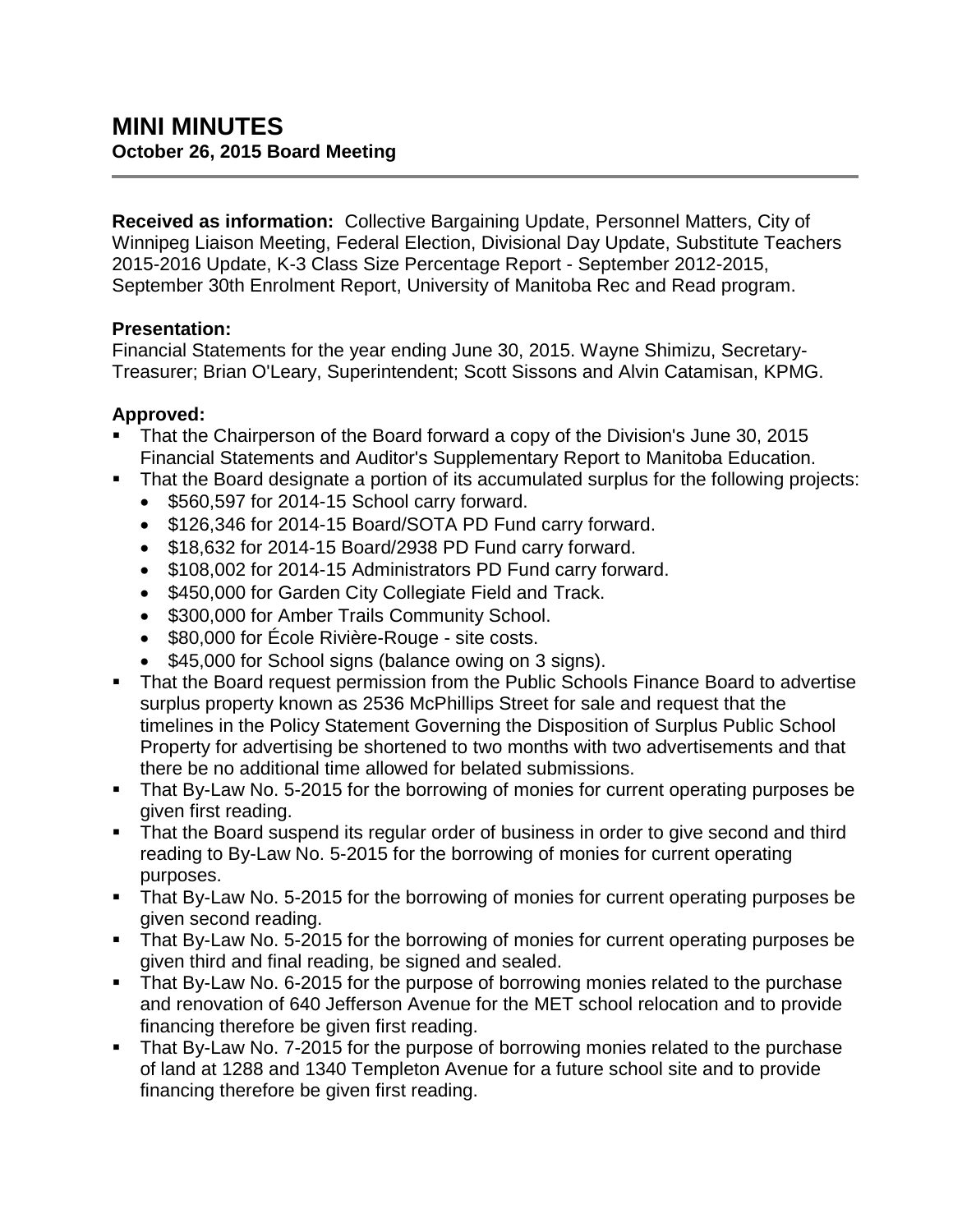**Received as information:** Collective Bargaining Update, Personnel Matters, City of Winnipeg Liaison Meeting, Federal Election, Divisional Day Update, Substitute Teachers 2015-2016 Update, K-3 Class Size Percentage Report - September 2012-2015, September 30th Enrolment Report, University of Manitoba Rec and Read program.

## **Presentation:**

Financial Statements for the year ending June 30, 2015. Wayne Shimizu, Secretary-Treasurer; Brian O'Leary, Superintendent; Scott Sissons and Alvin Catamisan, KPMG.

## **Approved:**

- That the Chairperson of the Board forward a copy of the Division's June 30, 2015 Financial Statements and Auditor's Supplementary Report to Manitoba Education.
- That the Board designate a portion of its accumulated surplus for the following projects:
	- \$560,597 for 2014-15 School carry forward.
	- \$126,346 for 2014-15 Board/SOTA PD Fund carry forward.
	- \$18,632 for 2014-15 Board/2938 PD Fund carry forward.
	- \$108,002 for 2014-15 Administrators PD Fund carry forward.
	- \$450,000 for Garden City Collegiate Field and Track.
	- \$300,000 for Amber Trails Community School.
	- \$80,000 for École Rivière-Rouge site costs.
	- \$45,000 for School signs (balance owing on 3 signs).
- That the Board request permission from the Public Schools Finance Board to advertise surplus property known as 2536 McPhillips Street for sale and request that the timelines in the Policy Statement Governing the Disposition of Surplus Public School Property for advertising be shortened to two months with two advertisements and that there be no additional time allowed for belated submissions.
- That By-Law No. 5-2015 for the borrowing of monies for current operating purposes be given first reading.
- That the Board suspend its regular order of business in order to give second and third reading to By-Law No. 5-2015 for the borrowing of monies for current operating purposes.
- That By-Law No. 5-2015 for the borrowing of monies for current operating purposes be given second reading.
- That By-Law No. 5-2015 for the borrowing of monies for current operating purposes be given third and final reading, be signed and sealed.
- That By-Law No. 6-2015 for the purpose of borrowing monies related to the purchase and renovation of 640 Jefferson Avenue for the MET school relocation and to provide financing therefore be given first reading.
- That By-Law No. 7-2015 for the purpose of borrowing monies related to the purchase of land at 1288 and 1340 Templeton Avenue for a future school site and to provide financing therefore be given first reading.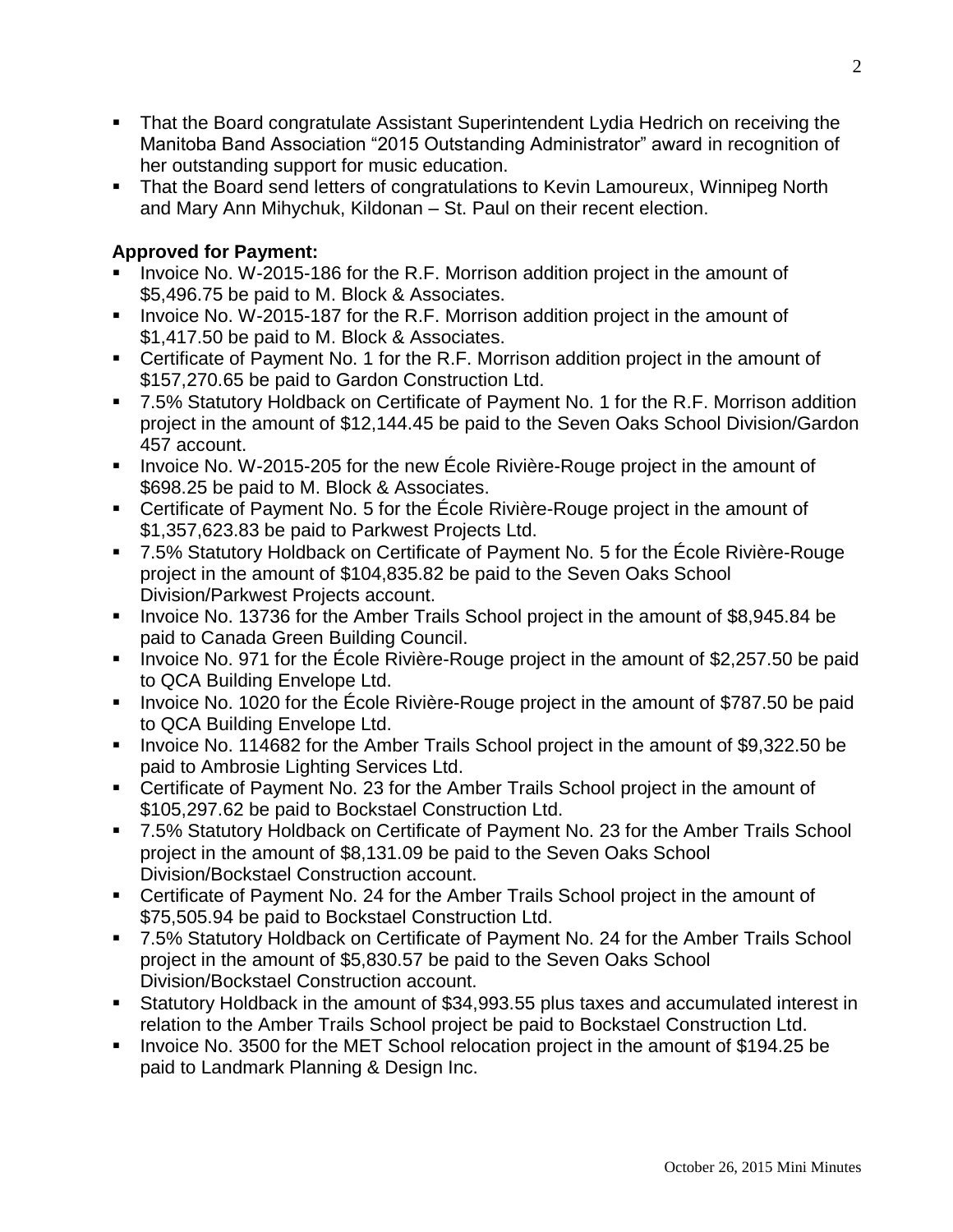- That the Board congratulate Assistant Superintendent Lydia Hedrich on receiving the Manitoba Band Association "2015 Outstanding Administrator" award in recognition of her outstanding support for music education.
- That the Board send letters of congratulations to Kevin Lamoureux, Winnipeg North and Mary Ann Mihychuk, Kildonan – St. Paul on their recent election.

# **Approved for Payment:**

- Invoice No. W-2015-186 for the R.F. Morrison addition project in the amount of \$5,496.75 be paid to M. Block & Associates.
- **IDED** Invoice No. W-2015-187 for the R.F. Morrison addition project in the amount of \$1,417.50 be paid to M. Block & Associates.
- Certificate of Payment No. 1 for the R.F. Morrison addition project in the amount of \$157,270.65 be paid to Gardon Construction Ltd.
- 7.5% Statutory Holdback on Certificate of Payment No. 1 for the R.F. Morrison addition project in the amount of \$12,144.45 be paid to the Seven Oaks School Division/Gardon 457 account.
- Invoice No. W-2015-205 for the new Ecole Rivière-Rouge project in the amount of \$698.25 be paid to M. Block & Associates.
- Certificate of Payment No. 5 for the École Rivière-Rouge project in the amount of \$1,357,623.83 be paid to Parkwest Projects Ltd.
- 7.5% Statutory Holdback on Certificate of Payment No. 5 for the École Rivière-Rouge project in the amount of \$104,835.82 be paid to the Seven Oaks School Division/Parkwest Projects account.
- Invoice No. 13736 for the Amber Trails School project in the amount of \$8,945.84 be paid to Canada Green Building Council.
- Invoice No. 971 for the École Rivière-Rouge project in the amount of \$2,257.50 be paid to QCA Building Envelope Ltd.
- Invoice No. 1020 for the École Rivière-Rouge project in the amount of \$787.50 be paid to QCA Building Envelope Ltd.
- Invoice No. 114682 for the Amber Trails School project in the amount of \$9,322.50 be paid to Ambrosie Lighting Services Ltd.
- Certificate of Payment No. 23 for the Amber Trails School project in the amount of \$105,297.62 be paid to Bockstael Construction Ltd.
- 7.5% Statutory Holdback on Certificate of Payment No. 23 for the Amber Trails School project in the amount of \$8,131.09 be paid to the Seven Oaks School Division/Bockstael Construction account.
- Certificate of Payment No. 24 for the Amber Trails School project in the amount of \$75,505.94 be paid to Bockstael Construction Ltd.
- 7.5% Statutory Holdback on Certificate of Payment No. 24 for the Amber Trails School project in the amount of \$5,830.57 be paid to the Seven Oaks School Division/Bockstael Construction account.
- Statutory Holdback in the amount of \$34,993.55 plus taxes and accumulated interest in relation to the Amber Trails School project be paid to Bockstael Construction Ltd.
- Invoice No. 3500 for the MET School relocation project in the amount of \$194.25 be paid to Landmark Planning & Design Inc.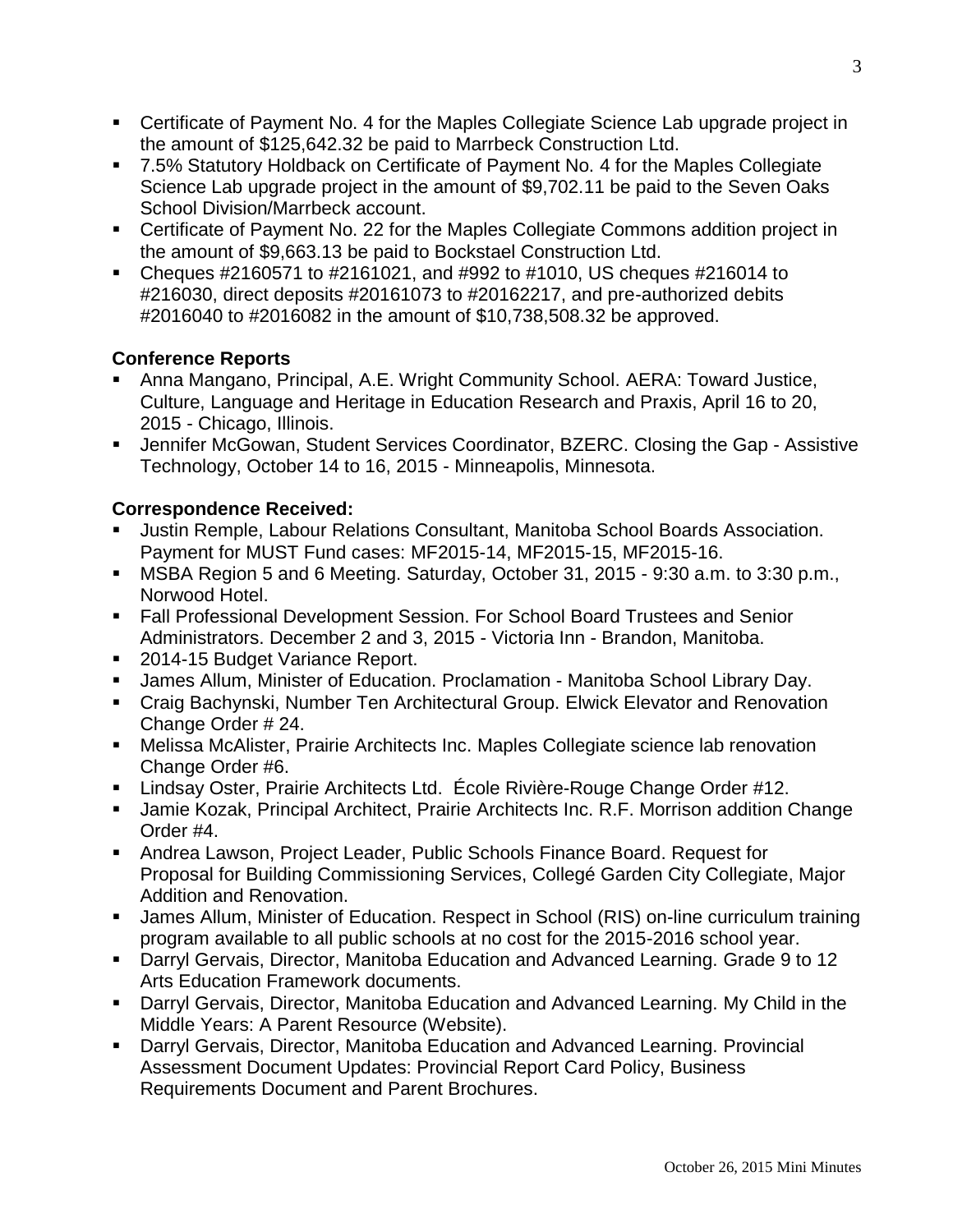- Certificate of Payment No. 4 for the Maples Collegiate Science Lab upgrade project in the amount of \$125,642.32 be paid to Marrbeck Construction Ltd.
- 7.5% Statutory Holdback on Certificate of Payment No. 4 for the Maples Collegiate Science Lab upgrade project in the amount of \$9,702.11 be paid to the Seven Oaks School Division/Marrbeck account.
- Certificate of Payment No. 22 for the Maples Collegiate Commons addition project in the amount of \$9,663.13 be paid to Bockstael Construction Ltd.
- Cheques #2160571 to #2161021, and #992 to #1010, US cheques #216014 to #216030, direct deposits #20161073 to #20162217, and pre-authorized debits #2016040 to #2016082 in the amount of \$10,738,508.32 be approved.

## **Conference Reports**

- Anna Mangano, Principal, A.E. Wright Community School. AERA: Toward Justice, Culture, Language and Heritage in Education Research and Praxis, April 16 to 20, 2015 - Chicago, Illinois.
- Jennifer McGowan, Student Services Coordinator, BZERC. Closing the Gap Assistive Technology, October 14 to 16, 2015 - Minneapolis, Minnesota.

## **Correspondence Received:**

- Justin Remple, Labour Relations Consultant, Manitoba School Boards Association. Payment for MUST Fund cases: MF2015-14, MF2015-15, MF2015-16.
- MSBA Region 5 and 6 Meeting. Saturday, October 31, 2015 9:30 a.m. to 3:30 p.m., Norwood Hotel.
- Fall Professional Development Session. For School Board Trustees and Senior Administrators. December 2 and 3, 2015 - Victoria Inn - Brandon, Manitoba.
- 2014-15 Budget Variance Report.
- James Allum, Minister of Education. Proclamation Manitoba School Library Day.
- Craig Bachynski, Number Ten Architectural Group. Elwick Elevator and Renovation Change Order # 24.
- Melissa McAlister, Prairie Architects Inc. Maples Collegiate science lab renovation Change Order #6.
- Lindsay Oster, Prairie Architects Ltd. École Rivière-Rouge Change Order #12.
- Jamie Kozak, Principal Architect, Prairie Architects Inc. R.F. Morrison addition Change Order #4.
- Andrea Lawson, Project Leader, Public Schools Finance Board. Request for Proposal for Building Commissioning Services, Collegé Garden City Collegiate, Major Addition and Renovation.
- James Allum, Minister of Education. Respect in School (RIS) on-line curriculum training program available to all public schools at no cost for the 2015-2016 school year.
- Darryl Gervais, Director, Manitoba Education and Advanced Learning. Grade 9 to 12 Arts Education Framework documents.
- Darryl Gervais, Director, Manitoba Education and Advanced Learning. My Child in the Middle Years: A Parent Resource (Website).
- Darryl Gervais, Director, Manitoba Education and Advanced Learning. Provincial Assessment Document Updates: Provincial Report Card Policy, Business Requirements Document and Parent Brochures.